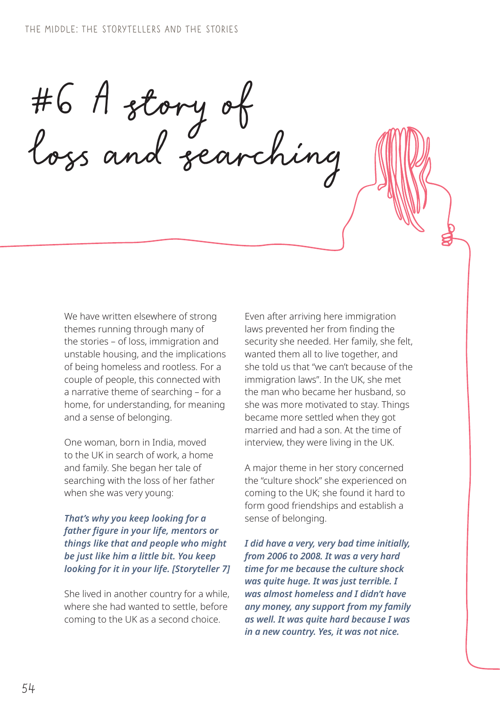#6 A story of loss and searching

We have written elsewhere of strong themes running through many of the stories – of loss, immigration and unstable housing, and the implications of being homeless and rootless. For a couple of people, this connected with a narrative theme of searching – for a home, for understanding, for meaning and a sense of belonging.

One woman, born in India, moved to the UK in search of work, a home and family. She began her tale of searching with the loss of her father when she was very young:

#### *That's why you keep looking for a father figure in your life, mentors or things like that and people who might be just like him a little bit. You keep looking for it in your life. [Storyteller 7]*

She lived in another country for a while, where she had wanted to settle, before coming to the UK as a second choice.

Even after arriving here immigration laws prevented her from finding the security she needed. Her family, she felt, wanted them all to live together, and she told us that "we can't because of the immigration laws". In the UK, she met the man who became her husband, so she was more motivated to stay. Things became more settled when they got married and had a son. At the time of interview, they were living in the UK.

A major theme in her story concerned the "culture shock" she experienced on coming to the UK; she found it hard to form good friendships and establish a sense of belonging.

*I did have a very, very bad time initially, from 2006 to 2008. It was a very hard time for me because the culture shock was quite huge. It was just terrible. I was almost homeless and I didn't have any money, any support from my family as well. It was quite hard because I was in a new country. Yes, it was not nice.*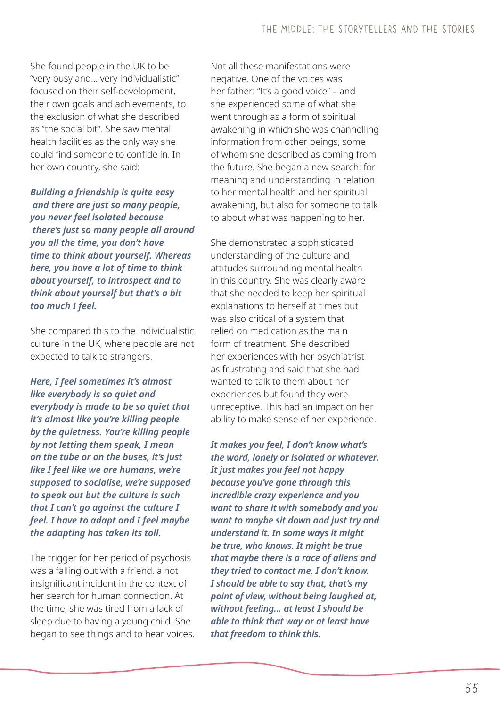She found people in the UK to be "very busy and… very individualistic", focused on their self-development, their own goals and achievements, to the exclusion of what she described as "the social bit". She saw mental health facilities as the only way she could find someone to confide in. In her own country, she said:

*Building a friendship is quite easy and there are just so many people, you never feel isolated because there's just so many people all around you all the time, you don't have time to think about yourself. Whereas here, you have a lot of time to think about yourself, to introspect and to think about yourself but that's a bit too much I feel.*

She compared this to the individualistic culture in the UK, where people are not expected to talk to strangers.

*Here, I feel sometimes it's almost like everybody is so quiet and everybody is made to be so quiet that it's almost like you're killing people by the quietness. You're killing people by not letting them speak, I mean on the tube or on the buses, it's just like I feel like we are humans, we're supposed to socialise, we're supposed to speak out but the culture is such that I can't go against the culture I feel. I have to adapt and I feel maybe the adapting has taken its toll.*

The trigger for her period of psychosis was a falling out with a friend, a not insignificant incident in the context of her search for human connection. At the time, she was tired from a lack of sleep due to having a young child. She began to see things and to hear voices. Not all these manifestations were negative. One of the voices was her father: "It's a good voice" – and she experienced some of what she went through as a form of spiritual awakening in which she was channelling information from other beings, some of whom she described as coming from the future. She began a new search: for meaning and understanding in relation to her mental health and her spiritual awakening, but also for someone to talk to about what was happening to her.

She demonstrated a sophisticated understanding of the culture and attitudes surrounding mental health in this country. She was clearly aware that she needed to keep her spiritual explanations to herself at times but was also critical of a system that relied on medication as the main form of treatment. She described her experiences with her psychiatrist as frustrating and said that she had wanted to talk to them about her experiences but found they were unreceptive. This had an impact on her ability to make sense of her experience.

*It makes you feel, I don't know what's the word, lonely or isolated or whatever. It just makes you feel not happy because you've gone through this incredible crazy experience and you want to share it with somebody and you want to maybe sit down and just try and understand it. In some ways it might be true, who knows. It might be true that maybe there is a race of aliens and they tried to contact me, I don't know. I should be able to say that, that's my point of view, without being laughed at, without feeling… at least I should be able to think that way or at least have that freedom to think this.*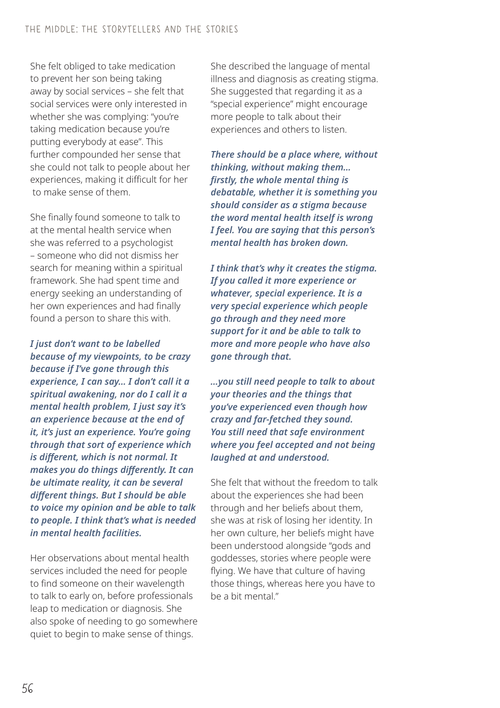She felt obliged to take medication to prevent her son being taking away by social services – she felt that social services were only interested in whether she was complying: "you're taking medication because you're putting everybody at ease". This further compounded her sense that she could not talk to people about her experiences, making it difficult for her to make sense of them.

She finally found someone to talk to at the mental health service when she was referred to a psychologist – someone who did not dismiss her search for meaning within a spiritual framework. She had spent time and energy seeking an understanding of her own experiences and had finally found a person to share this with.

*I just don't want to be labelled because of my viewpoints, to be crazy because if I've gone through this experience, I can say… I don't call it a spiritual awakening, nor do I call it a mental health problem, I just say it's an experience because at the end of it, it's just an experience. You're going through that sort of experience which is different, which is not normal. It makes you do things differently. It can be ultimate reality, it can be several different things. But I should be able to voice my opinion and be able to talk to people. I think that's what is needed in mental health facilities.* 

Her observations about mental health services included the need for people to find someone on their wavelength to talk to early on, before professionals leap to medication or diagnosis. She also spoke of needing to go somewhere quiet to begin to make sense of things.

She described the language of mental illness and diagnosis as creating stigma. She suggested that regarding it as a "special experience" might encourage more people to talk about their experiences and others to listen.

*There should be a place where, without thinking, without making them… firstly, the whole mental thing is debatable, whether it is something you should consider as a stigma because the word mental health itself is wrong I feel. You are saying that this person's mental health has broken down.* 

*I think that's why it creates the stigma. If you called it more experience or whatever, special experience. It is a very special experience which people go through and they need more support for it and be able to talk to more and more people who have also gone through that.*

*…you still need people to talk to about your theories and the things that you've experienced even though how crazy and far-fetched they sound. You still need that safe environment where you feel accepted and not being laughed at and understood.*

She felt that without the freedom to talk about the experiences she had been through and her beliefs about them, she was at risk of losing her identity. In her own culture, her beliefs might have been understood alongside "gods and goddesses, stories where people were flying. We have that culture of having those things, whereas here you have to be a bit mental"